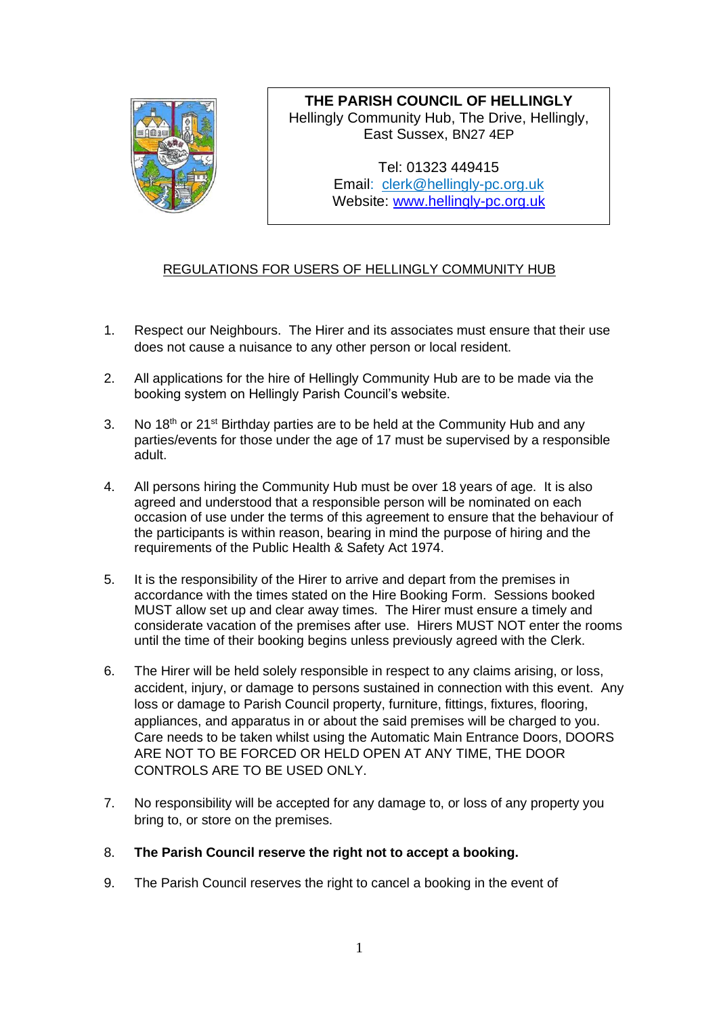

**THE PARISH COUNCIL OF HELLINGLY** Hellingly Community Hub, The Drive, Hellingly, East Sussex, BN27 4EP

> Tel: 01323 449415 Email: [clerk@hellingly-pc.org.uk](mailto:clerk@hellingly-pc.org.uk) Website: [www.hellingly-pc.org.uk](http://www.hellingly-pc.org.uk/)

## REGULATIONS FOR USERS OF HELLINGLY COMMUNITY HUB

- 1. Respect our Neighbours. The Hirer and its associates must ensure that their use does not cause a nuisance to any other person or local resident.
- 2. All applications for the hire of Hellingly Community Hub are to be made via the booking system on Hellingly Parish Council's website.
- 3. No 18<sup>th</sup> or 21<sup>st</sup> Birthday parties are to be held at the Community Hub and any parties/events for those under the age of 17 must be supervised by a responsible adult.
- 4. All persons hiring the Community Hub must be over 18 years of age. It is also agreed and understood that a responsible person will be nominated on each occasion of use under the terms of this agreement to ensure that the behaviour of the participants is within reason, bearing in mind the purpose of hiring and the requirements of the Public Health & Safety Act 1974.
- 5. It is the responsibility of the Hirer to arrive and depart from the premises in accordance with the times stated on the Hire Booking Form. Sessions booked MUST allow set up and clear away times. The Hirer must ensure a timely and considerate vacation of the premises after use. Hirers MUST NOT enter the rooms until the time of their booking begins unless previously agreed with the Clerk.
- 6. The Hirer will be held solely responsible in respect to any claims arising, or loss, accident, injury, or damage to persons sustained in connection with this event. Any loss or damage to Parish Council property, furniture, fittings, fixtures, flooring, appliances, and apparatus in or about the said premises will be charged to you. Care needs to be taken whilst using the Automatic Main Entrance Doors, DOORS ARE NOT TO BE FORCED OR HELD OPEN AT ANY TIME, THE DOOR CONTROLS ARE TO BE USED ONLY.
- 7. No responsibility will be accepted for any damage to, or loss of any property you bring to, or store on the premises.
- 8. **The Parish Council reserve the right not to accept a booking.**
- 9. The Parish Council reserves the right to cancel a booking in the event of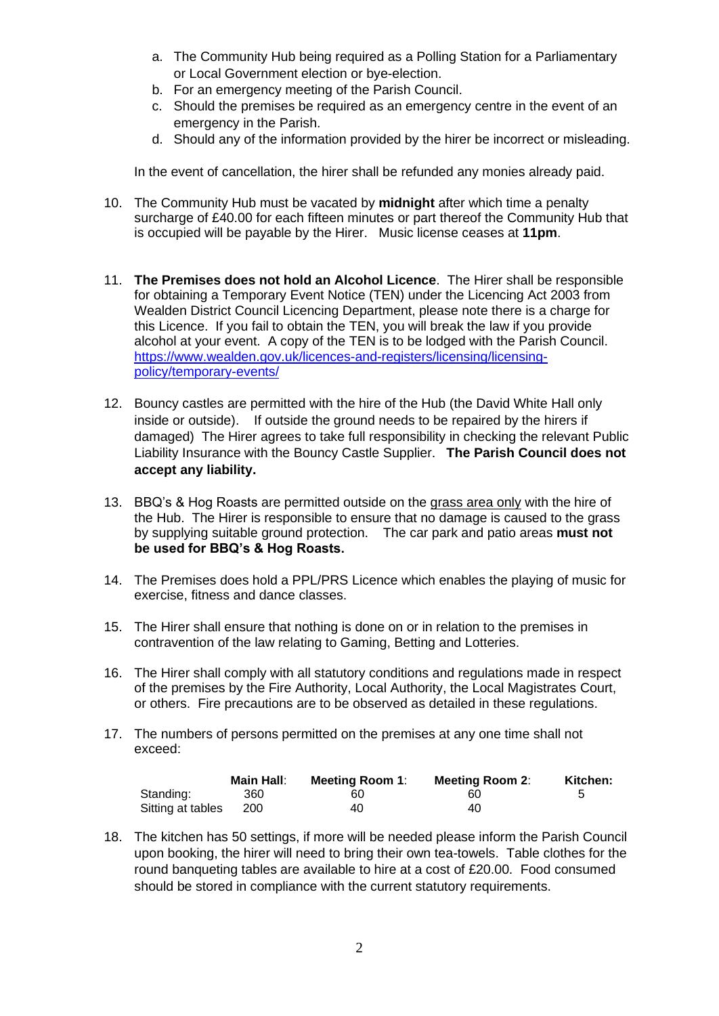- a. The Community Hub being required as a Polling Station for a Parliamentary or Local Government election or bye-election.
- b. For an emergency meeting of the Parish Council.
- c. Should the premises be required as an emergency centre in the event of an emergency in the Parish.
- d. Should any of the information provided by the hirer be incorrect or misleading.

In the event of cancellation, the hirer shall be refunded any monies already paid.

- 10. The Community Hub must be vacated by **midnight** after which time a penalty surcharge of £40.00 for each fifteen minutes or part thereof the Community Hub that is occupied will be payable by the Hirer. Music license ceases at **11pm**.
- 11. **The Premises does not hold an Alcohol Licence**. The Hirer shall be responsible for obtaining a Temporary Event Notice (TEN) under the Licencing Act 2003 from Wealden District Council Licencing Department, please note there is a charge for this Licence. If you fail to obtain the TEN, you will break the law if you provide alcohol at your event. A copy of the TEN is to be lodged with the Parish Council. [https://www.wealden.gov.uk/licences-and-registers/licensing/licensing](https://www.wealden.gov.uk/licences-and-registers/licensing/licensing-policy/temporary-events/)[policy/temporary-events/](https://www.wealden.gov.uk/licences-and-registers/licensing/licensing-policy/temporary-events/)
- 12. Bouncy castles are permitted with the hire of the Hub (the David White Hall only inside or outside). If outside the ground needs to be repaired by the hirers if damaged) The Hirer agrees to take full responsibility in checking the relevant Public Liability Insurance with the Bouncy Castle Supplier. **The Parish Council does not accept any liability.**
- 13. BBQ's & Hog Roasts are permitted outside on the grass area only with the hire of the Hub. The Hirer is responsible to ensure that no damage is caused to the grass by supplying suitable ground protection. The car park and patio areas **must not be used for BBQ's & Hog Roasts.**
- 14. The Premises does hold a PPL/PRS Licence which enables the playing of music for exercise, fitness and dance classes.
- 15. The Hirer shall ensure that nothing is done on or in relation to the premises in contravention of the law relating to Gaming, Betting and Lotteries.
- 16. The Hirer shall comply with all statutory conditions and regulations made in respect of the premises by the Fire Authority, Local Authority, the Local Magistrates Court, or others. Fire precautions are to be observed as detailed in these regulations.
- 17. The numbers of persons permitted on the premises at any one time shall not exceed:

|                   | <b>Main Hall:</b> | <b>Meeting Room 1:</b> | <b>Meeting Room 2:</b> | Kitchen:     |
|-------------------|-------------------|------------------------|------------------------|--------------|
| Standing:         | 360               | 60                     | 60                     | <sub>5</sub> |
| Sitting at tables | 200               | 40                     | 40                     |              |

18. The kitchen has 50 settings, if more will be needed please inform the Parish Council upon booking, the hirer will need to bring their own tea-towels. Table clothes for the round banqueting tables are available to hire at a cost of £20.00. Food consumed should be stored in compliance with the current statutory requirements.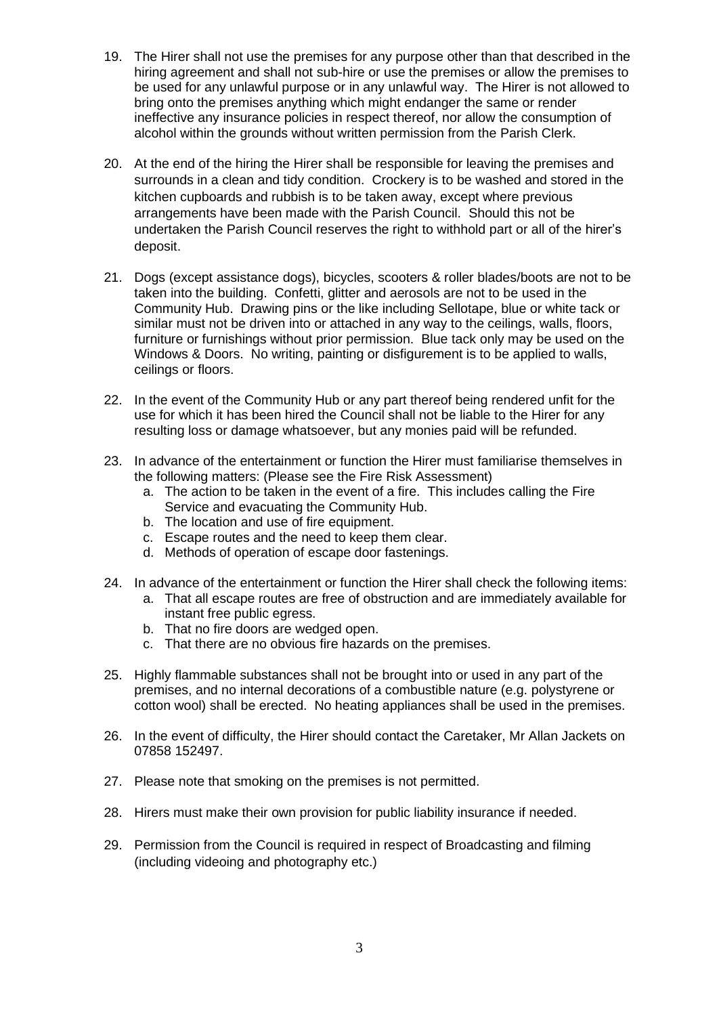- 19. The Hirer shall not use the premises for any purpose other than that described in the hiring agreement and shall not sub-hire or use the premises or allow the premises to be used for any unlawful purpose or in any unlawful way. The Hirer is not allowed to bring onto the premises anything which might endanger the same or render ineffective any insurance policies in respect thereof, nor allow the consumption of alcohol within the grounds without written permission from the Parish Clerk.
- 20. At the end of the hiring the Hirer shall be responsible for leaving the premises and surrounds in a clean and tidy condition. Crockery is to be washed and stored in the kitchen cupboards and rubbish is to be taken away, except where previous arrangements have been made with the Parish Council. Should this not be undertaken the Parish Council reserves the right to withhold part or all of the hirer's deposit.
- 21. Dogs (except assistance dogs), bicycles, scooters & roller blades/boots are not to be taken into the building. Confetti, glitter and aerosols are not to be used in the Community Hub. Drawing pins or the like including Sellotape, blue or white tack or similar must not be driven into or attached in any way to the ceilings, walls, floors, furniture or furnishings without prior permission. Blue tack only may be used on the Windows & Doors. No writing, painting or disfigurement is to be applied to walls, ceilings or floors.
- 22. In the event of the Community Hub or any part thereof being rendered unfit for the use for which it has been hired the Council shall not be liable to the Hirer for any resulting loss or damage whatsoever, but any monies paid will be refunded.
- 23. In advance of the entertainment or function the Hirer must familiarise themselves in the following matters: (Please see the Fire Risk Assessment)
	- a. The action to be taken in the event of a fire. This includes calling the Fire Service and evacuating the Community Hub.
	- b. The location and use of fire equipment.
	- c. Escape routes and the need to keep them clear.
	- d. Methods of operation of escape door fastenings.
- 24. In advance of the entertainment or function the Hirer shall check the following items:
	- a. That all escape routes are free of obstruction and are immediately available for instant free public egress.
	- b. That no fire doors are wedged open.
	- c. That there are no obvious fire hazards on the premises.
- 25. Highly flammable substances shall not be brought into or used in any part of the premises, and no internal decorations of a combustible nature (e.g. polystyrene or cotton wool) shall be erected. No heating appliances shall be used in the premises.
- 26. In the event of difficulty, the Hirer should contact the Caretaker, Mr Allan Jackets on 07858 152497.
- 27. Please note that smoking on the premises is not permitted.
- 28. Hirers must make their own provision for public liability insurance if needed.
- 29. Permission from the Council is required in respect of Broadcasting and filming (including videoing and photography etc.)